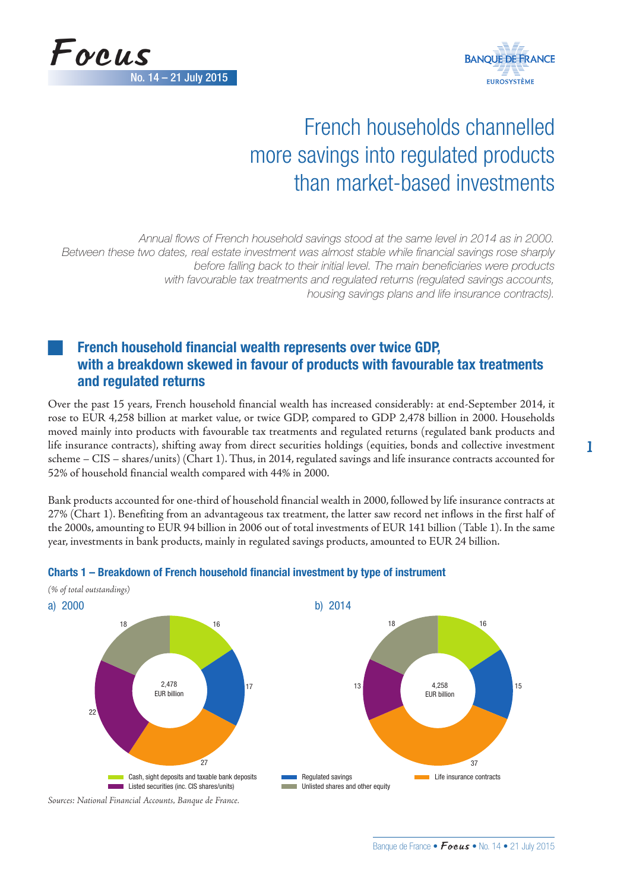



# French households channelled more savings into regulated products than market-based investments

*Annual flows of French household savings stood at the same level in 2014 as in 2000. Between these two dates, real estate investment was almost stable while financial savings rose sharply before falling back to their initial level. The main beneficiaries were products with favourable tax treatments and regulated returns (regulated savings accounts, housing savings plans and life insurance contracts).*

# French household financial wealth represents over twice GDP, with a breakdown skewed in favour of products with favourable tax treatments and regulated returns

Over the past 15 years, French household financial wealth has increased considerably: at end-September 2014, it rose to EUR 4,258 billion at market value, or twice GDP, compared to GDP 2,478 billion in 2000. Households moved mainly into products with favourable tax treatments and regulated returns (regulated bank products and life insurance contracts), shifting away from direct securities holdings (equities, bonds and collective investment scheme – CIS – shares/units) (Chart 1). Thus, in 2014, regulated savings and life insurance contracts accounted for 52% of household financial wealth compared with 44% in 2000.

Bank products accounted for one-third of household financial wealth in 2000, followed by life insurance contracts at 27% (Chart 1). Benefiting from an advantageous tax treatment, the latter saw record net inflows in the first half of the 2000s, amounting to EUR 94 billion in 2006 out of total investments of EUR 141 billion (Table 1). In the same year, investments in bank products, mainly in regulated savings products, amounted to EUR 24 billion.



# Charts 1 – Breakdown of French household financial investment by type of instrument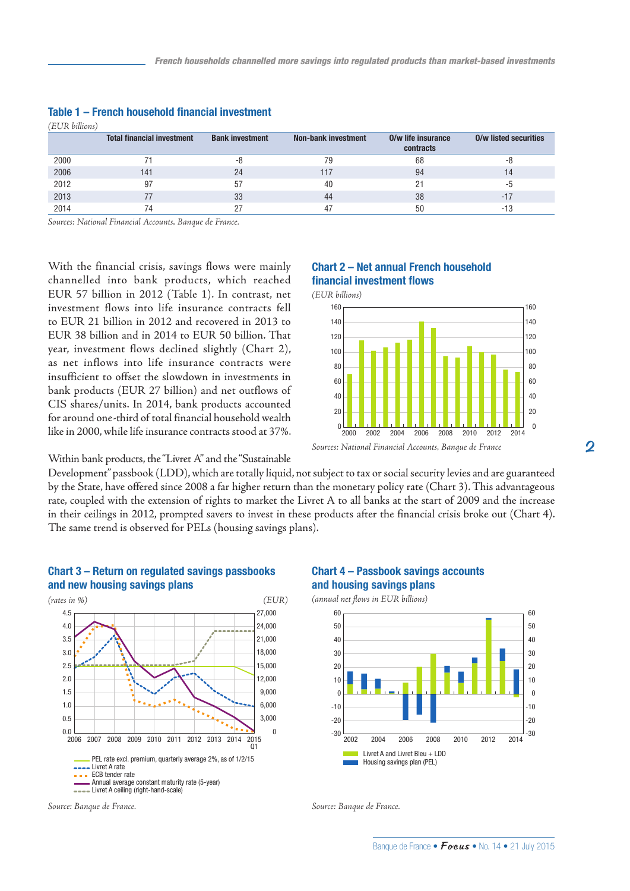| (EUR billions) |                                   |                        |                            |                                 |                              |
|----------------|-----------------------------------|------------------------|----------------------------|---------------------------------|------------------------------|
|                | <b>Total financial investment</b> | <b>Bank investment</b> | <b>Non-bank investment</b> | 0/w life insurance<br>contracts | <b>O/w listed securities</b> |
| 2000           |                                   | -8                     | 79                         | 68                              | -8                           |
| 2006           | 141                               | 24                     | 117                        | 94                              | 14                           |
| 2012           | 97                                | 57                     | 40                         |                                 | -5                           |
| 2013           |                                   | 33                     | 44                         | 38                              | $-17$                        |
| 2014           |                                   |                        |                            | 50                              | -13                          |

### Table 1 – French household financial investment

*Sources: National Financial Accounts, Banque de France.*

With the financial crisis, savings flows were mainly channelled into bank products, which reached EUR 57 billion in 2012 (Table 1). In contrast, net investment flows into life insurance contracts fell to EUR 21 billion in 2012 and recovered in 2013 to EUR 38 billion and in 2014 to EUR 50 billion. That year, investment flows declined slightly (Chart 2), as net inflows into life insurance contracts were insufficient to offset the slowdown in investments in bank products (EUR 27 billion) and net outflows of CIS shares/units. In 2014, bank products accounted for around one-third of total financial household wealth like in 2000, while life insurance contracts stood at 37%.

# Chart 2 – Net annual French household financial investment flows



Within bank products, the "Livret A" and the "Sustainable

Development" passbook (LDD), which are totally liquid, not subject to tax or social security levies and are guaranteed by the State, have offered since 2008 a far higher return than the monetary policy rate (Chart 3). This advantageous rate, coupled with the extension of rights to market the Livret A to all banks at the start of 2009 and the increase in their ceilings in 2012, prompted savers to invest in these products after the financial crisis broke out (Chart 4). The same trend is observed for PELs (housing savings plans).



# Chart 3 – Return on regulated savings passbooks and new housing savings plans

#### *Source: Banque de France. Source: Banque de France.*



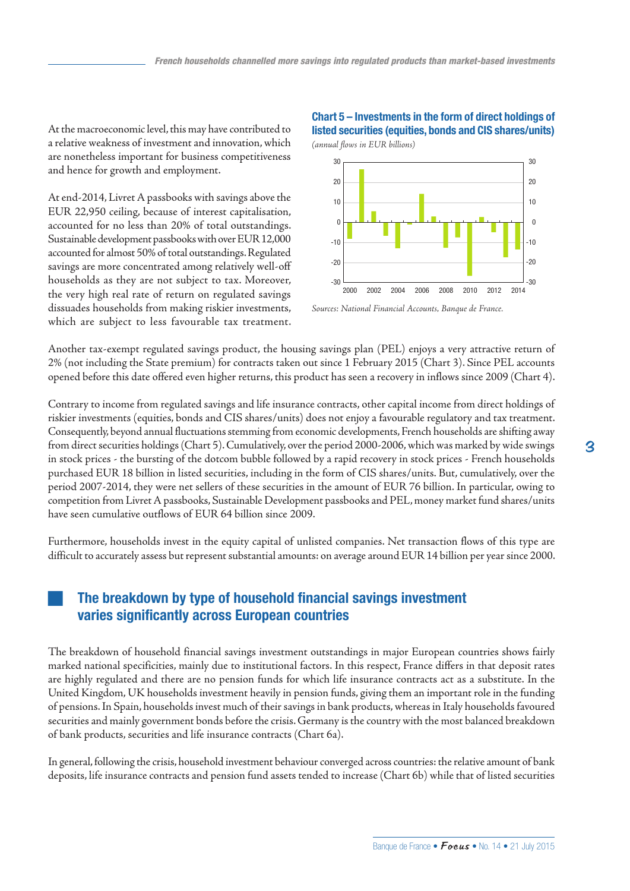At the macroeconomic level, this may have contributed to a relative weakness of investment and innovation, which are nonetheless important for business competitiveness and hence for growth and employment.

At end-2014, Livret A passbooks with savings above the EUR 22,950 ceiling, because of interest capitalisation, accounted for no less than 20% of total outstandings. Sustainable development passbooks with over EUR 12,000 accounted for almost 50% of total outstandings. Regulated savings are more concentrated among relatively well-off households as they are not subject to tax. Moreover, the very high real rate of return on regulated savings dissuades households from making riskier investments, which are subject to less favourable tax treatment.

# Chart 5 – Investments in the form of direct holdings of listed securities (equities, bonds and CIS shares/units)



*Sources: National Financial Accounts, Banque de France.*

Another tax-exempt regulated savings product, the housing savings plan (PEL) enjoys a very attractive return of 2% (not including the State premium) for contracts taken out since 1 February 2015 (Chart 3). Since PEL accounts opened before this date offered even higher returns, this product has seen a recovery in inflows since 2009 (Chart 4).

Contrary to income from regulated savings and life insurance contracts, other capital income from direct holdings of riskier investments (equities, bonds and CIS shares/units) does not enjoy a favourable regulatory and tax treatment. Consequently, beyond annual fluctuations stemming from economic developments, French households are shifting away from direct securities holdings (Chart 5). Cumulatively, over the period 2000-2006, which was marked by wide swings in stock prices - the bursting of the dotcom bubble followed by a rapid recovery in stock prices - French households purchased EUR 18 billion in listed securities, including in the form of CIS shares/units. But, cumulatively, over the period 2007-2014, they were net sellers of these securities in the amount of EUR 76 billion. In particular, owing to competition from Livret A passbooks, Sustainable Development passbooks and PEL, money market fund shares/units have seen cumulative outflows of EUR 64 billion since 2009.

Furthermore, households invest in the equity capital of unlisted companies. Net transaction flows of this type are difficult to accurately assess but represent substantial amounts: on average around EUR 14 billion per year since 2000.

# The breakdown by type of household financial savings investment varies significantly across European countries

The breakdown of household financial savings investment outstandings in major European countries shows fairly marked national specificities, mainly due to institutional factors. In this respect, France differs in that deposit rates are highly regulated and there are no pension funds for which life insurance contracts act as a substitute. In the United Kingdom, UK households investment heavily in pension funds, giving them an important role in the funding of pensions. In Spain, households invest much of their savings in bank products, whereas in Italy households favoured securities and mainly government bonds before the crisis. Germany is the country with the most balanced breakdown of bank products, securities and life insurance contracts (Chart 6a).

In general, following the crisis, household investment behaviour converged across countries: the relative amount of bank deposits, life insurance contracts and pension fund assets tended to increase (Chart 6b) while that of listed securities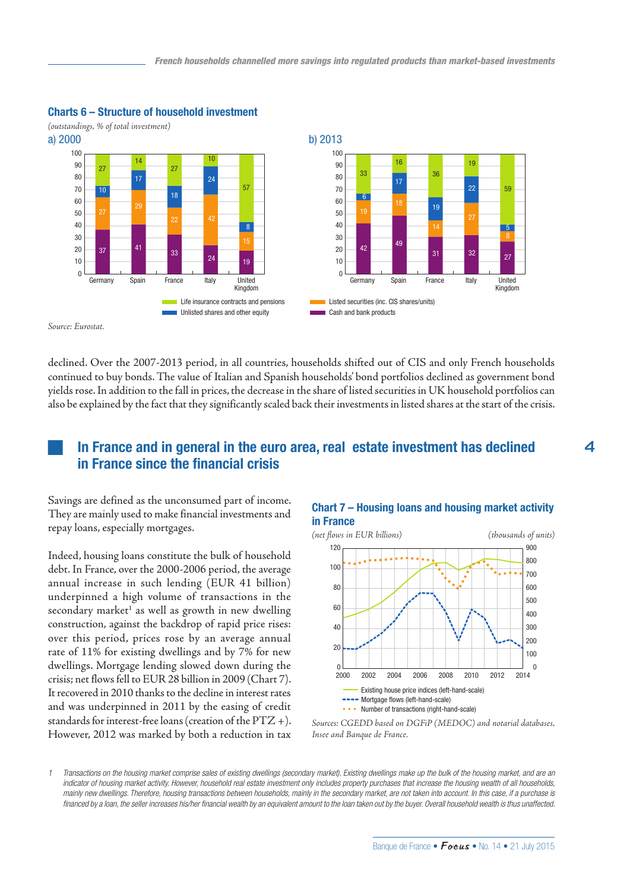

### Charts 6 – Structure of household investment

*Source: Eurostat.*

declined. Over the 2007-2013 period, in all countries, households shifted out of CIS and only French households continued to buy bonds. The value of Italian and Spanish households' bond portfolios declined as government bond yields rose. In addition to the fall in prices, the decrease in the share of listed securities in UK household portfolios can also be explained by the fact that they significantly scaled back their investments in listed shares at the start of the crisis.

# In France and in general in the euro area, real estate investment has declined in France since the financial crisis

Savings are defined as the unconsumed part of income. They are mainly used to make financial investments and repay loans, especially mortgages.

Indeed, housing loans constitute the bulk of household debt. In France, over the 2000-2006 period, the average annual increase in such lending (EUR 41 billion) underpinned a high volume of transactions in the secondary market<sup>1</sup> as well as growth in new dwelling construction, against the backdrop of rapid price rises: over this period, prices rose by an average annual rate of 11% for existing dwellings and by 7% for new dwellings. Mortgage lending slowed down during the crisis; net flows fell to EUR 28 billion in 2009 (Chart 7). It recovered in 2010 thanks to the decline in interest rates and was underpinned in 2011 by the easing of credit standards for interest-free loans (creation of the  $\frac{PTZ}{+}$ ). However, 2012 was marked by both a reduction in tax

### Chart 7 – Housing loans and housing market activity in France



*Sources: CGEDD based on DGFiP (MEDOC) and notarial databases, Insee and Banque de France.*

*1 Transactions on the housing market comprise sales of existing dwellings (secondary market). Existing dwellings make up the bulk of the housing market, and are an indicator of housing market activity. However, household real estate investment only includes property purchases that increase the housing wealth of all households, mainly new dwellings. Therefore, housing transactions between households, mainly in the secondary market, are not taken into account. In this case, if a purchase is financed by a loan, the seller increases his/her financial wealth by an equivalent amount to the loan taken out by the buyer. Overall household wealth is thus unaffected.*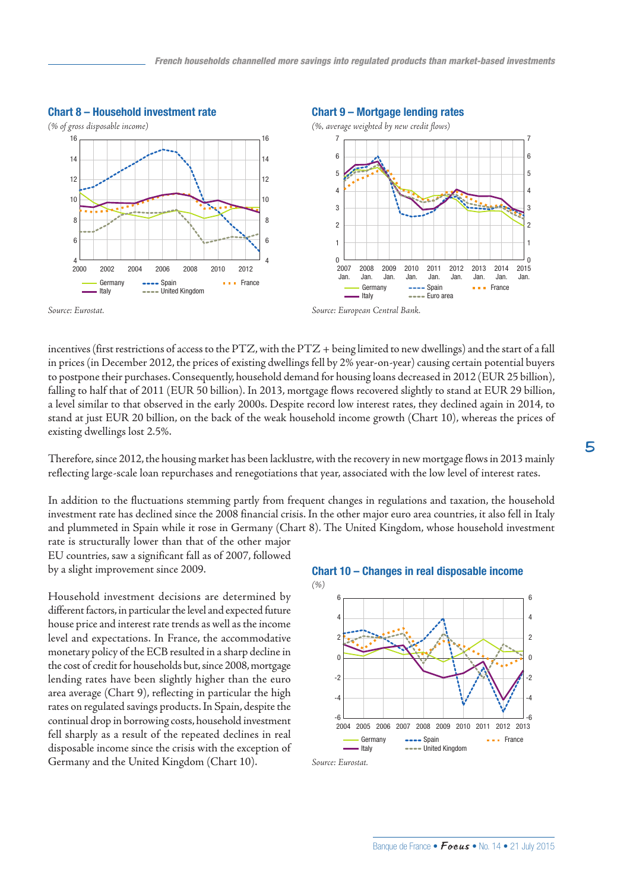

*Source: Eurostat. Source: European Central Bank.*

incentives (first restrictions of access to the PTZ, with the PTZ + being limited to new dwellings) and the start of a fall in prices (in December 2012, the prices of existing dwellings fell by 2% year-on-year) causing certain potential buyers to postpone their purchases. Consequently, household demand for housing loans decreased in 2012 (EUR 25 billion), falling to half that of 2011 (EUR 50 billion). In 2013, mortgage flows recovered slightly to stand at EUR 29 billion, a level similar to that observed in the early 2000s. Despite record low interest rates, they declined again in 2014, to stand at just EUR 20 billion, on the back of the weak household income growth (Chart 10), whereas the prices of existing dwellings lost 2.5%.

Therefore, since 2012, the housing market has been lacklustre, with the recovery in new mortgage flows in 2013 mainly reflecting large-scale loan repurchases and renegotiations that year, associated with the low level of interest rates.

In addition to the fluctuations stemming partly from frequent changes in regulations and taxation, the household investment rate has declined since the 2008 financial crisis. In the other major euro area countries, it also fell in Italy and plummeted in Spain while it rose in Germany (Chart 8). The United Kingdom, whose household investment rate is structurally lower than that of the other major

EU countries, saw a significant fall as of 2007, followed by a slight improvement since 2009.

Household investment decisions are determined by different factors, in particular the level and expected future house price and interest rate trends as well as the income level and expectations. In France, the accommodative monetary policy of the ECB resulted in a sharp decline in the cost of credit for households but, since 2008, mortgage lending rates have been slightly higher than the euro area average (Chart 9), reflecting in particular the high rates on regulated savings products. In Spain, despite the continual drop in borrowing costs, household investment fell sharply as a result of the repeated declines in real disposable income since the crisis with the exception of Germany and the United Kingdom (Chart 10).





*Source: Eurostat.*